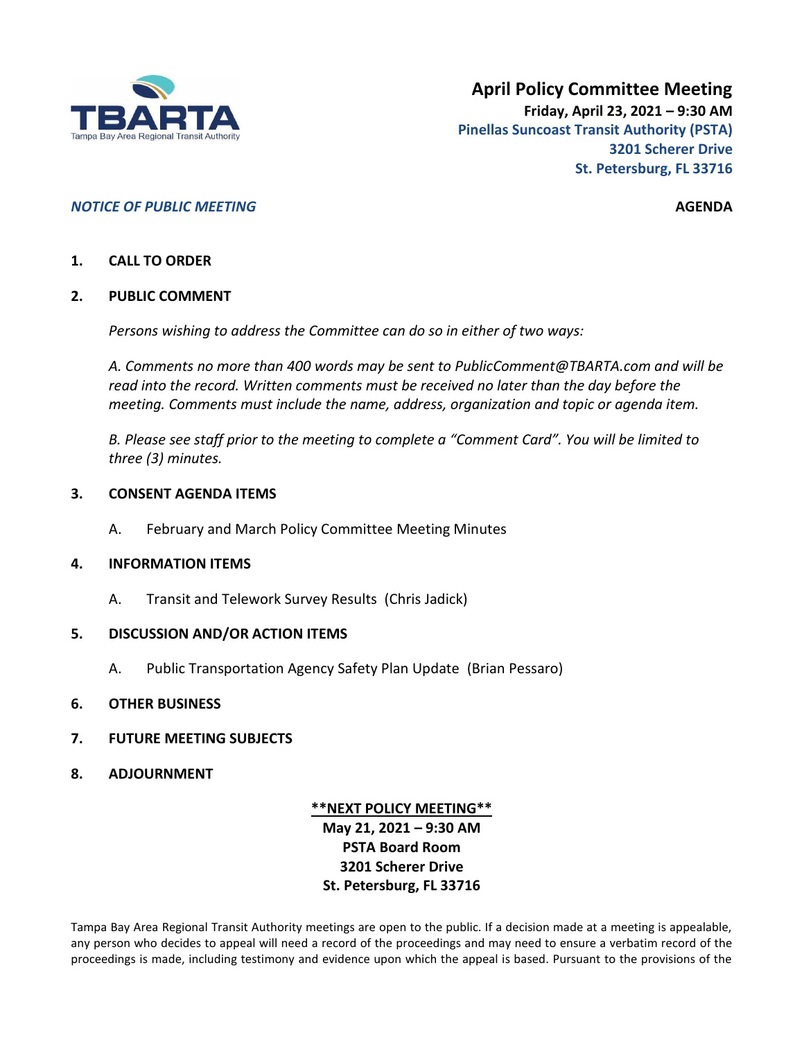

## *NOTICE OF PUBLIC MEETING* **AGENDA**

### **1. CALL TO ORDER**

#### **2. PUBLIC COMMENT**

*Persons wishing to address the Committee can do so in either of two ways:*

*A. Comments no more than 400 words may be sent to PublicComment@TBARTA.com and will be read into the record. Written comments must be received no later than the day before the meeting. Comments must include the name, address, organization and topic or agenda item.*

*B. Please see staff prior to the meeting to complete a "Comment Card". You will be limited to three (3) minutes.*

#### **3. CONSENT AGENDA ITEMS**

A. February and March Policy Committee Meeting Minutes

#### **4. INFORMATION ITEMS**

A. Transit and Telework Survey Results (Chris Jadick)

#### **5. DISCUSSION AND/OR ACTION ITEMS**

A. Public Transportation Agency Safety Plan Update (Brian Pessaro)

#### **6. OTHER BUSINESS**

- **7. FUTURE MEETING SUBJECTS**
- **8. ADJOURNMENT**

# **\*\*NEXT POLICY MEETING\*\* May 21, 2021 – 9:30 AM PSTA Board Room 3201 Scherer Drive St. Petersburg, FL 33716**

Tampa Bay Area Regional Transit Authority meetings are open to the public. If a decision made at a meeting is appealable, any person who decides to appeal will need a record of the proceedings and may need to ensure a verbatim record of the proceedings is made, including testimony and evidence upon which the appeal is based. Pursuant to the provisions of the